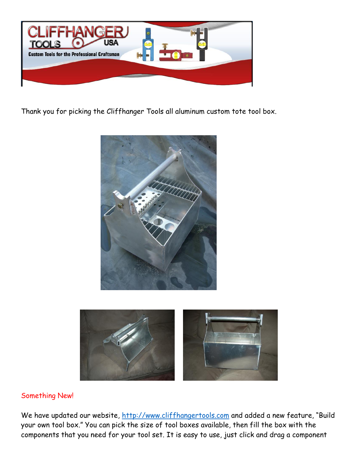

Thank you for picking the Cliffhanger Tools all aluminum custom tote tool box.





## Something New!

We have updated our website, [http://www.cliffhangertools.com](http://www.cliffhangertools.com/) and added a new feature, "Build your own tool box." You can pick the size of tool boxes available, then fill the box with the components that you need for your tool set. It is easy to use, just click and drag a component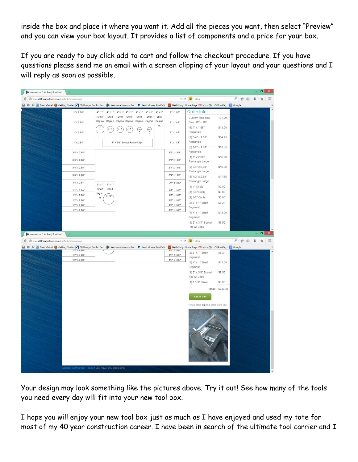inside the box and place it where you want it. Add all the pieces you want, then select "Preview" and you can view your box layout. It provides a list of components and a price for your box.

If you are ready to buy click add to cart and follow the checkout procedure. If you have questions please send me an email with a screen clipping of your layout and your questions and I will reply as soon as possible.

| Aluminum Tote Box   Pre-Desi<br>$+$                                                                                                                                                  |                                  |                                              |                                  |                |                                            |                                                         |                 |           | $\blacksquare$ |              |
|--------------------------------------------------------------------------------------------------------------------------------------------------------------------------------------|----------------------------------|----------------------------------------------|----------------------------------|----------------|--------------------------------------------|---------------------------------------------------------|-----------------|-----------|----------------|--------------|
| www.cliffhangertools.com/cgi/buildyourown.cgi                                                                                                                                        |                                  |                                              |                                  |                |                                            | $\nabla$ $C^i$ $\rightarrow$ $Bing$                     |                 | ρ ☆ 自 ↓   |                | $\equiv$     |
| → # Q B Most Visited ● Getting Started 5 Cliffhanger Tools - Sm 2 Welcome to our onlin ● Send Money, Pay Onli W Wells Fargo Home Page M Inbox (2) - c1if4ord@g <mark>% Google</mark> |                                  |                                              |                                  |                |                                            |                                                         |                 |           |                |              |
| $1" \times 2.88"$                                                                                                                                                                    | $4" \times 1"$<br>$4"$ x 1"      | $4" \times 1"$ $4" \times 1"$ $4" \times 1"$ | $4" \times 1"$                   | $4" \times 1"$ | $1"$ x 1.88"                               | Order Info                                              |                 |           |                |              |
| $1" \times 2.88"$                                                                                                                                                                    | Shelf<br>Shelf<br>Segme<br>Segme | Shelf<br>Shelf<br>Segme<br>Segme             | Shelf<br>Shelf<br>Segme<br>Segme | Shelf<br>Segme | $1''$ x 1.88"                              | Custom Tote Box<br>Size: 12" x 10"                      | 121.06          |           |                |              |
| $1" \times 2.88"$                                                                                                                                                                    | $3/4$ <sup>-</sup>               | 3/4<br>$3/4$ <sup>*</sup>                    | (1/2)<br>(1/2)                   | nt             | $1"$ x 1.88"                               | (4) 1" x 1.88"<br>Rectangle                             | \$13.04         |           |                |              |
| $1" \times 2.88"$                                                                                                                                                                    |                                  | 5" x 3/4" Socket Rail w/ Clips               |                                  |                | $1" \times 1.88"$                          | $(5)$ 3/4" x 1.88"<br>Rectangle                         | \$14.95         |           |                |              |
| $3/4$ " x 2.88"                                                                                                                                                                      |                                  |                                              |                                  |                | $3/4$ " x 1.88"                            | (5) 1/2" x 1.88"<br>Rectangle                           | \$13.55         |           |                |              |
| $3/4" \times 2.88"$                                                                                                                                                                  |                                  |                                              |                                  |                | $3/4" \times 1.88"$                        | (4) 1" x 2.88"<br>Rectangle Large                       | \$16.28         |           |                |              |
| $3/4" \times 2.88"$                                                                                                                                                                  |                                  |                                              |                                  |                | $3/4" \times 1.88"$                        | $(5)$ 3/4" x 2.88"                                      | \$19.00         |           |                |              |
| $3/4$ " x 2.88"                                                                                                                                                                      |                                  |                                              |                                  |                | $3/4" \times 1.88"$                        | Rectangle Large<br>$(5) 1/2" \times 2.88"$              | \$17.65         |           |                |              |
| $3/4" \times 2.88"$                                                                                                                                                                  | $3" \times 1"$ $3" \times 1"$    |                                              |                                  |                | $3/4" \times 1.88"$                        | Rectangle Large<br>$(1) 1"$ Circle                      | \$0.00          |           |                |              |
| $1/2$ " x 2.88"                                                                                                                                                                      | Shelf<br>Shelf<br>Segm           |                                              |                                  |                | $1/2"$ x $1.88"$                           | (3) 3/4" Circle                                         | \$0.00          |           |                |              |
| $1/2$ " x 2.88"                                                                                                                                                                      | 11/4<br>nt                       |                                              |                                  |                | $1/2" \times 1.88"$                        | (2) 1/2" Circle                                         | \$0.00          |           |                |              |
| $1/2$ " x 2.88"<br>$1/2" \times 2.88"$                                                                                                                                               |                                  |                                              |                                  |                | $1/2" \times 1.88"$<br>$1/2" \times 1.88"$ | (2) 3" x 1" Shelf                                       | \$3.24          |           |                |              |
| $1/2" \times 2.88"$                                                                                                                                                                  |                                  |                                              |                                  |                | $1/2" \times 1.88"$                        | Segment<br>(7) 4" x 1" Shelf                            | \$13.09         |           |                |              |
|                                                                                                                                                                                      |                                  |                                              |                                  |                |                                            | Segment<br>(1) 5" x 3/4" Socket<br>Rail w/ Clips        | \$7.50          |           |                |              |
| $+$<br>Aluminum Tote Box   Pre-Desi                                                                                                                                                  |                                  |                                              |                                  |                |                                            |                                                         |                 |           | $ a$           | $\mathsf{x}$ |
| www.cliffhangertools.com/cgi/buildyourown.cgi                                                                                                                                        |                                  |                                              |                                  |                |                                            | $\nabla$ $C^2$ $\triangleright$ $\triangleright$ $Bing$ |                 | ρ ☆ 自 → ☆ |                |              |
| → 第 Q A Most Visited → Getting Started S Cliffhanger Tools - Sm 2 Welcome to our onlin P Send Money, Pay Onli W Wells Fargo Home Page M Inbox (2) - c1if4ord@g & Google              |                                  |                                              |                                  |                |                                            |                                                         |                 |           |                |              |
| $1/2$ X 2.88<br>$1/2" \times 2.88"$                                                                                                                                                  |                                  |                                              |                                  |                | $1/2 - X$ 1.88<br>$1/2" \times 1.88"$      | (2) 3" x 1" Shelf                                       | \$3.24          |           |                |              |
| $1/2$ " x 2.88"                                                                                                                                                                      |                                  |                                              |                                  |                | $1/2"$ x 1.88"                             | Segment                                                 |                 |           |                |              |
|                                                                                                                                                                                      |                                  |                                              |                                  |                |                                            | (7) 4" x 1" Shelf<br>Segment                            | \$13.09         |           |                |              |
|                                                                                                                                                                                      |                                  |                                              |                                  |                |                                            | (1) 5" x 3/4" Socket<br>Rail w/ Clips                   | \$7.50          |           |                |              |
|                                                                                                                                                                                      |                                  |                                              |                                  |                |                                            | (1) 1 1/4" Circle                                       | \$0.00          |           |                |              |
|                                                                                                                                                                                      |                                  |                                              |                                  |                |                                            |                                                         | Total: \$239.36 |           |                |              |
|                                                                                                                                                                                      |                                  |                                              |                                  |                |                                            | Add To Cart                                             |                 |           |                |              |
|                                                                                                                                                                                      |                                  |                                              |                                  |                |                                            | Picture below depicts a sample Tote Box.                |                 |           |                |              |
|                                                                                                                                                                                      |                                  |                                              |                                  |                |                                            |                                                         |                 |           |                |              |

Your design may look something like the pictures above. Try it out! See how many of the tools you need every day will fit into your new tool box.

I hope you will enjoy your new tool box just as much as I have enjoyed and used my tote for most of my 40 year construction career. I have been in search of the ultimate tool carrier and I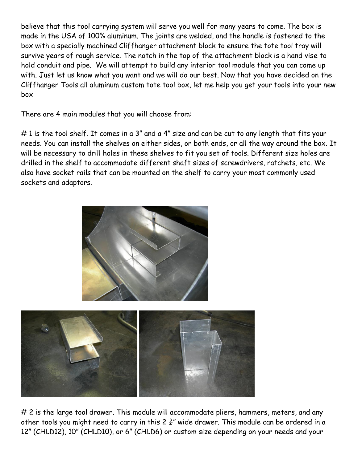believe that this tool carrying system will serve you well for many years to come. The box is made in the USA of 100% aluminum. The joints are welded, and the handle is fastened to the box with a specially machined Cliffhanger attachment block to ensure the tote tool tray will survive years of rough service. The notch in the top of the attachment block is a hand vise to hold conduit and pipe. We will attempt to build any interior tool module that you can come up with. Just let us know what you want and we will do our best. Now that you have decided on the Cliffhanger Tools all aluminum custom tote tool box, let me help you get your tools into your new box

There are 4 main modules that you will choose from:

# 1 is the tool shelf. It comes in a 3" and a 4" size and can be cut to any length that fits your needs. You can install the shelves on either sides, or both ends, or all the way around the box. It will be necessary to drill holes in these shelves to fit you set of tools. Different size holes are drilled in the shelf to accommodate different shaft sizes of screwdrivers, ratchets, etc. We also have socket rails that can be mounted on the shelf to carry your most commonly used sockets and adaptors.





# 2 is the large tool drawer. This module will accommodate pliers, hammers, meters, and any other tools you might need to carry in this 2  $\frac{3}{4}$ " wide drawer. This module can be ordered in a 12" (CHLD12), 10" (CHLD10), or 6" (CHLD6) or custom size depending on your needs and your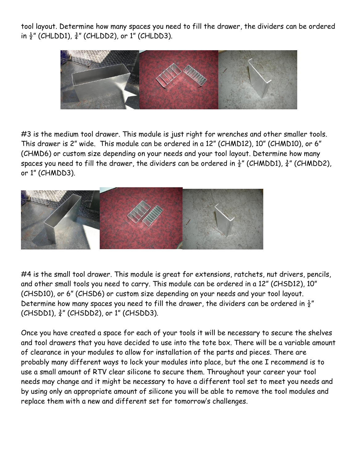tool layout. Determine how many spaces you need to fill the drawer, the dividers can be ordered in  $\frac{1}{2}$ " (CHLDD1),  $\frac{3}{4}$ " (CHLDD2), or 1" (CHLDD3).



#3 is the medium tool drawer. This module is just right for wrenches and other smaller tools. This drawer is 2" wide. This module can be ordered in a 12" (CHMD12), 10" (CHMD10), or 6" (CHMD6) or custom size depending on your needs and your tool layout. Determine how many spaces you need to fill the drawer, the dividers can be ordered in  $\frac{1}{2}$ " (CHMDD1),  $\frac{3}{4}$ " (CHMDD2), or 1" (CHMDD3).



#4 is the small tool drawer. This module is great for extensions, ratchets, nut drivers, pencils, and other small tools you need to carry. This module can be ordered in a 12" (CHSD12), 10" (CHSD10), or 6" (CHSD6) or custom size depending on your needs and your tool layout. Determine how many spaces you need to fill the drawer, the dividers can be ordered in  $\frac{1}{2}$ "  $(CHSDD1), \frac{3}{4}$ " (CHSDD2), or 1" (CHSDD3).

Once you have created a space for each of your tools it will be necessary to secure the shelves and tool drawers that you have decided to use into the tote box. There will be a variable amount of clearance in your modules to allow for installation of the parts and pieces. There are probably many different ways to lock your modules into place, but the one I recommend is to use a small amount of RTV clear silicone to secure them. Throughout your career your tool needs may change and it might be necessary to have a different tool set to meet you needs and by using only an appropriate amount of silicone you will be able to remove the tool modules and replace them with a new and different set for tomorrow's challenges.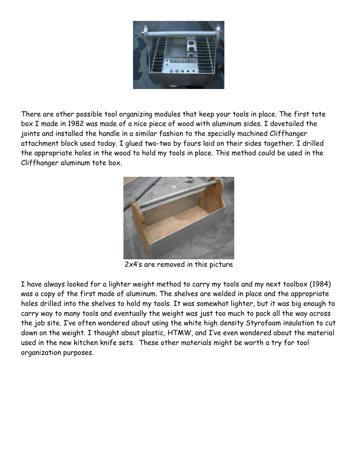

There are other possible tool organizing modules that keep your tools in place. The first tote box I made in 1982 was made of a nice piece of wood with aluminum sides. I dovetailed the joints and installed the handle in a similar fashion to the specially machined Cliffhanger attachment block used today. I glued two-two by fours laid on their sides together. I drilled the appropriate holes in the wood to hold my tools in place. This method could be used in the Cliffhanger aluminum tote box.



2x4's are removed in this picture

I have always looked for a lighter weight method to carry my tools and my next toolbox (1984) was a copy of the first made of aluminum. The shelves are welded in place and the appropriate holes drilled into the shelves to hold my tools. It was somewhat lighter, but it was big enough to carry way to many tools and eventually the weight was just too much to pack all the way across the job site. I've often wondered about using the white high density Styrofoam insulation to cut down on the weight. I thought about plastic, HTMW, and I've even wondered about the material used in the new kitchen knife sets. These other materials might be worth a try for tool organization purposes.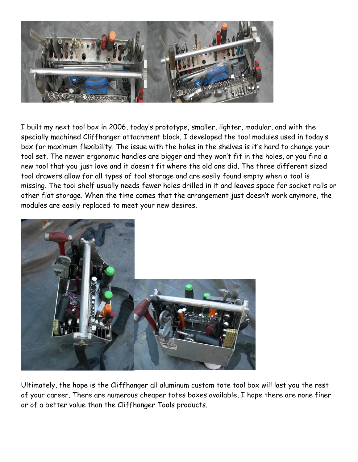

I built my next tool box in 2006, today's prototype, smaller, lighter, modular, and with the specially machined Cliffhanger attachment block. I developed the tool modules used in today's box for maximum flexibility. The issue with the holes in the shelves is it's hard to change your tool set. The newer ergonomic handles are bigger and they won't fit in the holes, or you find a new tool that you just love and it doesn't fit where the old one did. The three different sized tool drawers allow for all types of tool storage and are easily found empty when a tool is missing. The tool shelf usually needs fewer holes drilled in it and leaves space for socket rails or other flat storage. When the time comes that the arrangement just doesn't work anymore, the modules are easily replaced to meet your new desires.



Ultimately, the hope is the Cliffhanger all aluminum custom tote tool box will last you the rest of your career. There are numerous cheaper totes boxes available, I hope there are none finer or of a better value than the Cliffhanger Tools products.